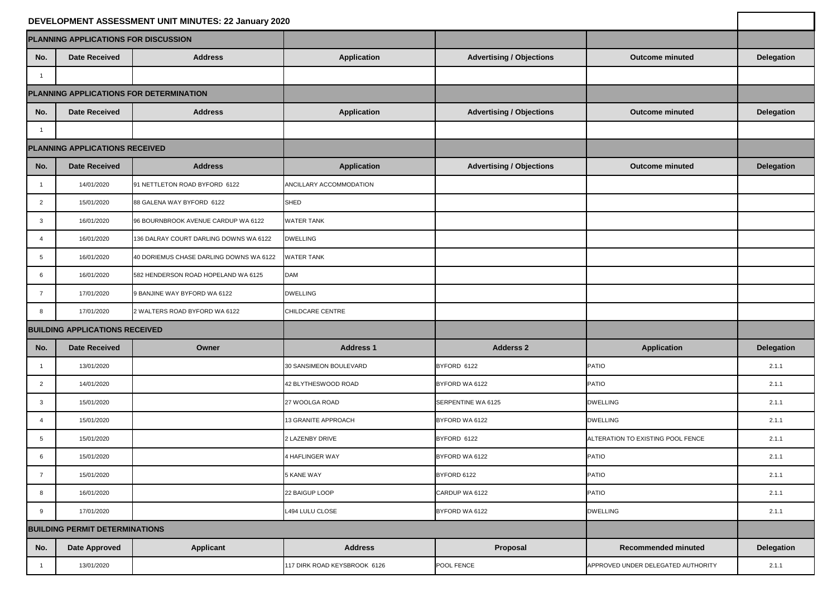|                                         |                      | DEVELOPMENT ASSESSMENT UNIT MINUTES: 22 January 2020 |                              |                                 |                                    |                   |
|-----------------------------------------|----------------------|------------------------------------------------------|------------------------------|---------------------------------|------------------------------------|-------------------|
| PLANNING APPLICATIONS FOR DISCUSSION    |                      |                                                      |                              |                                 |                                    |                   |
| No.                                     | <b>Date Received</b> | <b>Address</b>                                       | <b>Application</b>           | <b>Advertising / Objections</b> | <b>Outcome minuted</b>             | <b>Delegation</b> |
|                                         |                      |                                                      |                              |                                 |                                    |                   |
| PLANNING APPLICATIONS FOR DETERMINATION |                      |                                                      |                              |                                 |                                    |                   |
| No.                                     | <b>Date Received</b> | <b>Address</b>                                       | <b>Application</b>           | <b>Advertising / Objections</b> | <b>Outcome minuted</b>             | <b>Delegation</b> |
|                                         |                      |                                                      |                              |                                 |                                    |                   |
| <b>PLANNING APPLICATIONS RECEIVED</b>   |                      |                                                      |                              |                                 |                                    |                   |
| No.                                     | <b>Date Received</b> | <b>Address</b>                                       | <b>Application</b>           | <b>Advertising / Objections</b> | <b>Outcome minuted</b>             | <b>Delegation</b> |
|                                         | 14/01/2020           | 91 NETTLETON ROAD BYFORD 6122                        | ANCILLARY ACCOMMODATION      |                                 |                                    |                   |
| $\overline{2}$                          | 15/01/2020           | 88 GALENA WAY BYFORD 6122                            | SHED                         |                                 |                                    |                   |
| -3                                      | 16/01/2020           | 96 BOURNBROOK AVENUE CARDUP WA 6122                  | <b>WATER TANK</b>            |                                 |                                    |                   |
|                                         | 16/01/2020           | 136 DALRAY COURT DARLING DOWNS WA 6122               | <b>DWELLING</b>              |                                 |                                    |                   |
|                                         | 16/01/2020           | 40 DORIEMUS CHASE DARLING DOWNS WA 6122              | <b>WATER TANK</b>            |                                 |                                    |                   |
| 6                                       | 16/01/2020           | 582 HENDERSON ROAD HOPELAND WA 6125                  | <b>DAM</b>                   |                                 |                                    |                   |
|                                         | 17/01/2020           | 9 BANJINE WAY BYFORD WA 6122                         | <b>DWELLING</b>              |                                 |                                    |                   |
| 8                                       | 17/01/2020           | 2 WALTERS ROAD BYFORD WA 6122                        | CHILDCARE CENTRE             |                                 |                                    |                   |
| <b>BUILDING APPLICATIONS RECEIVED</b>   |                      |                                                      |                              |                                 |                                    |                   |
| No.                                     | <b>Date Received</b> | Owner                                                | <b>Address 1</b>             | <b>Adderss 2</b>                | <b>Application</b>                 | <b>Delegation</b> |
|                                         | 13/01/2020           |                                                      | 30 SANSIMEON BOULEVARD       | BYFORD 6122                     | PATIO                              | 2.1.1             |
| 2                                       | 14/01/2020           |                                                      | 42 BLYTHESWOOD ROAD          | BYFORD WA 6122                  | PATIO                              | 2.1.1             |
| 3                                       | 15/01/2020           |                                                      | 27 WOOLGA ROAD               | <b>SERPENTINE WA 6125</b>       | <b>DWELLING</b>                    | 2.1.1             |
|                                         | 15/01/2020           |                                                      | 13 GRANITE APPROACH          | BYFORD WA 6122                  | <b>DWELLING</b>                    | 2.1.1             |
| 5                                       | 15/01/2020           |                                                      | 2 LAZENBY DRIVE              | BYFORD 6122                     | ALTERATION TO EXISTING POOL FENCE  | 2.1.1             |
| 6                                       | 15/01/2020           |                                                      | 4 HAFLINGER WAY              | BYFORD WA 6122                  | PATIO                              | 2.1.1             |
|                                         | 15/01/2020           |                                                      | <b>5 KANE WAY</b>            | BYFORD 6122                     | PATIO                              | 2.1.1             |
| ୪                                       | 16/01/2020           |                                                      | 22 BAIGUP LOOP               | CARDUP WA 6122                  | <b>PATIO</b>                       | 2.1.1             |
| 9                                       | 17/01/2020           |                                                      | L494 LULU CLOSE              | BYFORD WA 6122                  | <b>DWELLING</b>                    | 2.1.1             |
| <b>BUILDING PERMIT DETERMINATIONS</b>   |                      |                                                      |                              |                                 |                                    |                   |
| No.                                     | <b>Date Approved</b> | <b>Applicant</b>                                     | <b>Address</b>               | Proposal                        | <b>Recommended minuted</b>         | <b>Delegation</b> |
|                                         | 13/01/2020           |                                                      | 117 DIRK ROAD KEYSBROOK 6126 | POOL FENCE                      | APPROVED UNDER DELEGATED AUTHORITY | 2.1.1             |